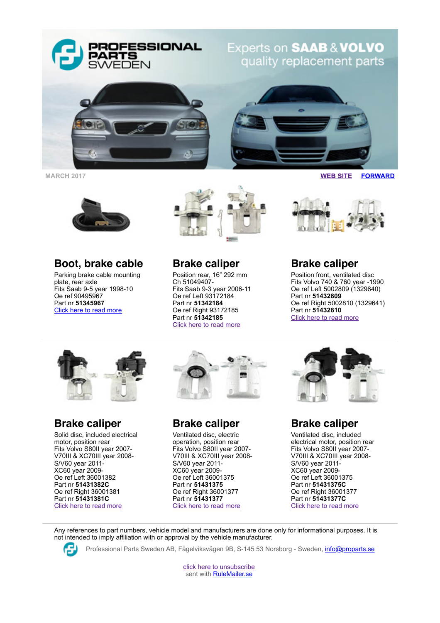

**MARCH 2017 [WEB SITE](http://www.proparts.se/) [FORWARD](http://app.rule.io/browser/campaign/c/n_1ayp/%25Link:Forward%25)**



## **Boot, brake cable**

Parking brake cable mounting plate, rear axle Fits Saab 9-5 year 1998-10 Oe ref 90495967 Part nr **51345967** [Click here to read more](http://www.proparts.se/dokument/bibliotek/File/pdfkataloger/1116_SAAB%20HANDBRAKE%20SHOE%20HARDWARE.pdf)



**Brake caliper**

Position rear, 16" 292 mm Ch 51049407- Fits Saab 9-3 year 2006-11 Oe ref Left 93172184 Part nr **51342184** Oe ref Right 93172185 Part nr **51342185** [Click here to read more](http://www.proparts.se/dokument/bibliotek/File/pdfkataloger/1105_SAAB.pdf)

## **Brake caliper**

Position front, ventilated disc Fits Volvo 740 & 760 year -1990 Oe ref Left 5002809 (1329640) Part nr **51432809** Oe ref Right 5002810 (1329641) Part nr **51432810** [Click here to read more](http://www.proparts.se/dokument/bibliotek/File/pdfkataloger/1105_VOLVO.pdf)



**Brake caliper**

Solid disc, included electrical motor, position rear Fits Volvo S80II year 2007- V70III & XC70III year 2008- S/V60 year 2011- XC60 year 2009- Oe ref Left 36001382 Part nr **51431382C** Oe ref Right 36001381 Part nr **51431381C** [Click here to read more](http://www.proparts.se/dokument/bibliotek/File/pdfkataloger/1105_VOLVO.pdf)



## **Brake caliper**

Ventilated disc, electric operation, position rear Fits Volvo S80II year 2007- V70III & XC70III year 2008- S/V60 year 2011- XC60 year 2009- Oe ref Left 36001375 Part nr **51431375** Oe ref Right 36001377 Part nr **51431377** [Click here to read more](http://www.proparts.se/dokument/bibliotek/File/pdfkataloger/1105_VOLVO.pdf)



## **Brake caliper**

Ventilated disc, included electrical motor, position rear Fits Volvo S80II year 2007- V70III & XC70III year 2008- S/V60 year 2011- XC60 year 2009- Oe ref Left 36001375 Part nr **51431375C** Oe ref Right 36001377 Part nr **51431377C** [Click here to read more](http://www.proparts.se/dokument/bibliotek/File/pdfkataloger/1105_VOLVO.pdf)

Any references to part numbers, vehicle model and manufacturers are done only for informational purposes. It is not intended to imply affiliation with or approval by the vehicle manufacturer.



Professional Parts Sweden AB, Fågelviksvägen 9B, S-145 53 Norsborg - Sweden, [info@proparts.se](mailto:info@proparts.se)

[click here to unsubscribe](http://app.rule.io/browser/campaign/c/n_1ayp/html) sent with [RuleMailer.se](http://www.rulemailer.se/)